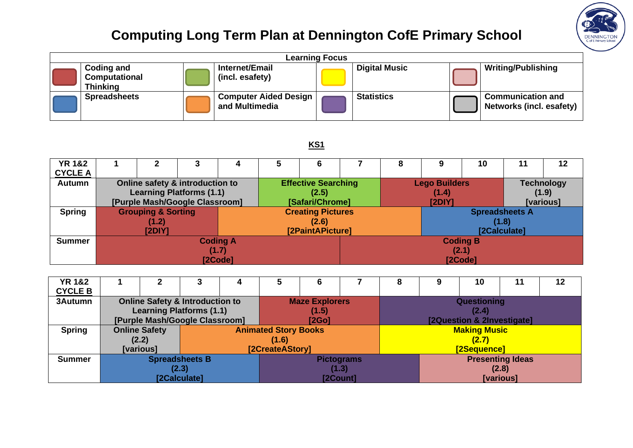## **Computing Long Term Plan at Dennington CofE Primary School**

**DENNINGTON**<br>C of E Primary School



## **KS1**

| <b>YR 1&amp;2</b> |                 |                               |                                 | 4       |  |                            |  | 8                     |                                           | 10        | 11 | 12    |  |  |
|-------------------|-----------------|-------------------------------|---------------------------------|---------|--|----------------------------|--|-----------------------|-------------------------------------------|-----------|----|-------|--|--|
| <b>CYCLE A</b>    |                 |                               |                                 |         |  |                            |  |                       |                                           |           |    |       |  |  |
| <b>Autumn</b>     |                 |                               | Online safety & introduction to |         |  | <b>Effective Searching</b> |  |                       | <b>Lego Builders</b><br><b>Technology</b> |           |    |       |  |  |
|                   |                 |                               | <b>Learning Platforms (1.1)</b> |         |  | (2.5)                      |  |                       | (1.4)                                     |           |    | (1.9) |  |  |
|                   |                 |                               | [Purple Mash/Google Classroom]  |         |  | [Safari/Chrome]            |  |                       | [2DIY]                                    | [various] |    |       |  |  |
| <b>Spring</b>     |                 | <b>Grouping &amp; Sorting</b> |                                 |         |  | <b>Creating Pictures</b>   |  | <b>Spreadsheets A</b> |                                           |           |    |       |  |  |
|                   |                 | (1.2)                         |                                 |         |  | (2.6)                      |  |                       | (1.8)                                     |           |    |       |  |  |
|                   |                 | [2DIY]                        |                                 |         |  | [2PaintAPicture]           |  | [2Calculate]          |                                           |           |    |       |  |  |
| <b>Summer</b>     | <b>Coding A</b> |                               |                                 |         |  |                            |  | <b>Coding B</b>       |                                           |           |    |       |  |  |
|                   |                 |                               |                                 | (1.7)   |  | (2.1)                      |  |                       |                                           |           |    |       |  |  |
|                   |                 |                               |                                 | [2Code] |  | [2Code]                    |  |                       |                                           |           |    |       |  |  |

| <b>YR 1&amp;2</b> |                       | 2                                          | 3            | 4 | 5                           | 6                     | 8 |                            | 10 | 11 | 12 |  |
|-------------------|-----------------------|--------------------------------------------|--------------|---|-----------------------------|-----------------------|---|----------------------------|----|----|----|--|
| <b>CYCLE B</b>    |                       |                                            |              |   |                             |                       |   |                            |    |    |    |  |
| 3Autumn           |                       | <b>Online Safety &amp; Introduction to</b> |              |   |                             | <b>Maze Explorers</b> |   | Questioning                |    |    |    |  |
|                   |                       | <b>Learning Platforms (1.1)</b>            |              |   |                             | (1.5)                 |   | (2.4)                      |    |    |    |  |
|                   |                       | [Purple Mash/Google Classroom]             |              |   |                             | [2Go]                 |   | [2Question & 2Investigate] |    |    |    |  |
| <b>Spring</b>     |                       | <b>Online Safety</b>                       |              |   | <b>Animated Story Books</b> |                       |   | <b>Making Music</b>        |    |    |    |  |
|                   |                       | (2.2)                                      |              |   | (1.6)                       |                       |   | (2.7)                      |    |    |    |  |
|                   |                       | <b>[various]</b>                           |              |   | [2CreateAStory]             |                       |   | [2Sequence]                |    |    |    |  |
| <b>Summer</b>     | <b>Spreadsheets B</b> |                                            |              |   |                             | <b>Pictograms</b>     |   | <b>Presenting Ideas</b>    |    |    |    |  |
|                   |                       |                                            | (2.3)        |   |                             | (1.3)                 |   | (2.8)                      |    |    |    |  |
|                   |                       |                                            | [2Calculate] |   |                             | [2Count]              |   | <b>[various]</b>           |    |    |    |  |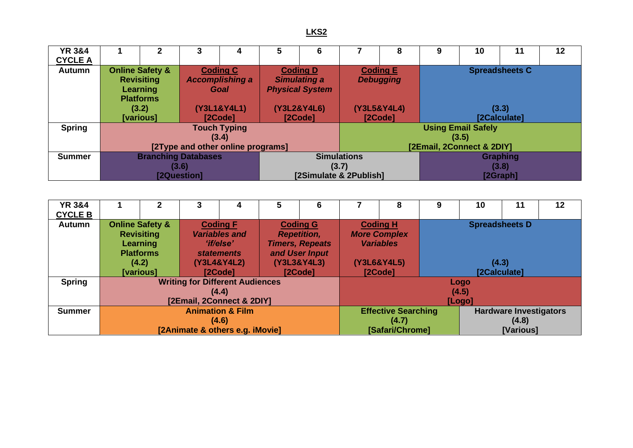**LKS2**

| <b>YR 3&amp;4</b><br><b>CYCLE A</b> | $\mathbf{2}$                                                                                                                                | 3                                 | 4                                                                | 5                      | 6                                   |                                    | 8                      | 9                     | 10 | 11 | 12 |  |
|-------------------------------------|---------------------------------------------------------------------------------------------------------------------------------------------|-----------------------------------|------------------------------------------------------------------|------------------------|-------------------------------------|------------------------------------|------------------------|-----------------------|----|----|----|--|
| Autumn                              | <b>Online Safety &amp;</b><br><b>Coding C</b><br><b>Accomplishing a</b><br><b>Revisiting</b><br><b>Learning</b><br>Goal<br><b>Platforms</b> |                                   | <b>Coding D</b><br><b>Simulating a</b><br><b>Physical System</b> |                        | <b>Coding E</b><br><b>Debugging</b> |                                    | <b>Spreadsheets C</b>  |                       |    |    |    |  |
|                                     | (3.2)<br>[various]                                                                                                                          |                                   | (Y3L1&Y4L1)<br>[2Code]                                           |                        | (Y3L2&Y4L6)<br>[2Code]              |                                    | (Y3L5&Y4L4)<br>[2Code] | (3.3)<br>[2Calculate] |    |    |    |  |
| <b>Spring</b>                       |                                                                                                                                             |                                   | <b>Touch Typing</b><br>(3.4)                                     |                        |                                     | <b>Using Email Safely</b><br>(3.5) |                        |                       |    |    |    |  |
|                                     |                                                                                                                                             | [2Type and other online programs] |                                                                  |                        |                                     | [2Email, 2Connect & 2DIY]          |                        |                       |    |    |    |  |
| <b>Summer</b>                       |                                                                                                                                             | <b>Branching Databases</b>        |                                                                  | <b>Simulations</b>     |                                     |                                    | <b>Graphing</b>        |                       |    |    |    |  |
|                                     |                                                                                                                                             | (3.6)                             |                                                                  | (3.7)                  |                                     |                                    |                        | (3.8)                 |    |    |    |  |
|                                     |                                                                                                                                             | [2Question]                       |                                                                  | [2Simulate & 2Publish] |                                     |                                    |                        | [2Graph]              |    |    |    |  |

| <b>YR 3&amp;4</b><br><b>CYCLE B</b> |                                                                                 |                                                                              |                                                                           |                                                                         | 5 | 6                                                                                 |                                                        | 8                                                          | 9                     | 10                                                  | 11 | 12 |  |  |
|-------------------------------------|---------------------------------------------------------------------------------|------------------------------------------------------------------------------|---------------------------------------------------------------------------|-------------------------------------------------------------------------|---|-----------------------------------------------------------------------------------|--------------------------------------------------------|------------------------------------------------------------|-----------------------|-----------------------------------------------------|----|----|--|--|
| <b>Autumn</b>                       | <b>Online Safety &amp;</b><br><b>Revisiting</b><br>Learning<br><b>Platforms</b> |                                                                              | <b>Coding F</b><br><b>Variables and</b><br>'if/else'<br><b>statements</b> |                                                                         |   | <b>Coding G</b><br><b>Repetition,</b><br><b>Timers, Repeats</b><br>and User Input |                                                        | <b>Coding H</b><br><b>More Complex</b><br><b>Variables</b> |                       | <b>Spreadsheets D</b>                               |    |    |  |  |
|                                     |                                                                                 | (4.2)<br>[various]                                                           |                                                                           | (Y3L4&Y4L2)<br>[2Code]                                                  |   | (Y3L3&Y4L3)<br>[2Code]                                                            | (Y3L6&Y4L5)<br>[2Code]                                 |                                                            | (4.3)<br>[2Calculate] |                                                     |    |    |  |  |
| <b>Spring</b>                       |                                                                                 | <b>Writing for Different Audiences</b><br>(4.4)<br>[2Email, 2Connect & 2DIY] |                                                                           |                                                                         |   |                                                                                   |                                                        | Logo<br>(4.5)<br>[Logo]                                    |                       |                                                     |    |    |  |  |
| <b>Summer</b>                       |                                                                                 |                                                                              |                                                                           | <b>Animation &amp; Film</b><br>(4.6)<br>[2Animate & others e.g. iMovie] |   |                                                                                   | <b>Effective Searching</b><br>(4.7)<br>[Safari/Chrome] |                                                            |                       | <b>Hardware Investigators</b><br>(4.8)<br>[Various] |    |    |  |  |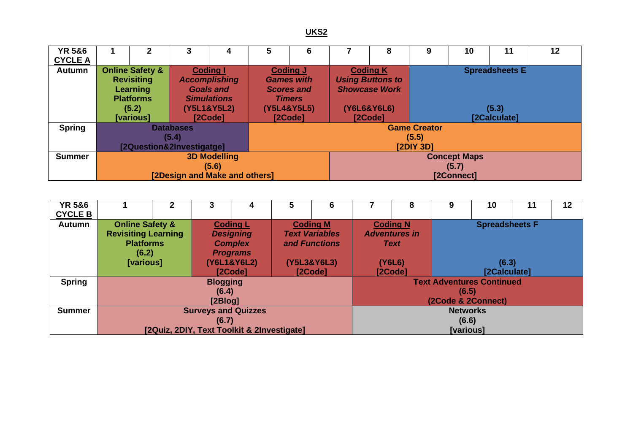**UKS2**

| <b>YR 5&amp;6</b> |                            | $\mathbf{2}$      | 3                    | 4                             | 5                   | 6          | 7                       | 8           | 9                     | 10                  | 11 | 12 |  |  |  |
|-------------------|----------------------------|-------------------|----------------------|-------------------------------|---------------------|------------|-------------------------|-------------|-----------------------|---------------------|----|----|--|--|--|
| <b>CYCLE A</b>    |                            |                   |                      |                               |                     |            |                         |             |                       |                     |    |    |  |  |  |
| Autumn            | <b>Online Safety &amp;</b> |                   | <b>Coding I</b>      |                               | <b>Coding J</b>     |            | <b>Coding K</b>         |             | <b>Spreadsheets E</b> |                     |    |    |  |  |  |
|                   |                            | <b>Revisiting</b> | <b>Accomplishing</b> |                               | <b>Games with</b>   |            | <b>Using Buttons to</b> |             |                       |                     |    |    |  |  |  |
|                   | Learning                   |                   | <b>Goals and</b>     |                               | <b>Scores and</b>   |            | <b>Showcase Work</b>    |             |                       |                     |    |    |  |  |  |
|                   | <b>Platforms</b>           |                   |                      | <b>Simulations</b>            | <b>Timers</b>       |            |                         |             |                       |                     |    |    |  |  |  |
|                   | (5.2)                      |                   |                      | (Y5L1&Y5L2)                   | (Y5L4&Y5L5)         |            |                         | (Y6L6&Y6L6) | (5.3)                 |                     |    |    |  |  |  |
|                   |                            | <b>[various]</b>  |                      | [2Code]                       |                     | [2Code]    |                         | [2Code]     | [2Calculate]          |                     |    |    |  |  |  |
| <b>Spring</b>     |                            |                   | <b>Databases</b>     |                               | <b>Game Creator</b> |            |                         |             |                       |                     |    |    |  |  |  |
|                   |                            |                   | (5.4)                |                               | (5.5)               |            |                         |             |                       |                     |    |    |  |  |  |
|                   | [2Question&2Investigatge]  |                   |                      |                               | <b>[2DIY 3D]</b>    |            |                         |             |                       |                     |    |    |  |  |  |
| <b>Summer</b>     | <b>3D Modelling</b>        |                   |                      |                               |                     |            |                         |             |                       | <b>Concept Maps</b> |    |    |  |  |  |
|                   |                            |                   |                      | (5.6)                         |                     |            |                         |             | (5.7)                 |                     |    |    |  |  |  |
|                   |                            |                   |                      | [2Design and Make and others] |                     | [2Connect] |                         |             |                       |                     |    |    |  |  |  |

| <b>YR 5&amp;6</b><br><b>CYCLE B</b> |                                                                                       | 2 | 3                                   | 4                                                                                                                                     | 5 | 6                      |                                                                 | 8                                                      | 9                     | 10 | 11 | 12 |  |  |
|-------------------------------------|---------------------------------------------------------------------------------------|---|-------------------------------------|---------------------------------------------------------------------------------------------------------------------------------------|---|------------------------|-----------------------------------------------------------------|--------------------------------------------------------|-----------------------|----|----|----|--|--|
| Autumn                              | <b>Online Safety &amp;</b><br><b>Revisiting Learning</b><br><b>Platforms</b><br>(6.2) |   |                                     | <b>Coding M</b><br><b>Coding L</b><br><b>Text Variables</b><br><b>Designing</b><br>and Functions<br><b>Complex</b><br><b>Programs</b> |   |                        |                                                                 | <b>Coding N</b><br><b>Adventures in</b><br><b>Text</b> | <b>Spreadsheets F</b> |    |    |    |  |  |
|                                     | [various]                                                                             |   |                                     | (Y6L1&Y6L2)<br>[2Code]                                                                                                                |   | (Y5L3&Y6L3)<br>[2Code] |                                                                 | (Y6L6)<br>[2Code]                                      | (6.3)<br>[2Calculate] |    |    |    |  |  |
| <b>Spring</b>                       |                                                                                       |   | <b>Blogging</b><br>(6.4)<br>[2Blog] |                                                                                                                                       |   |                        | <b>Text Adventures Continued</b><br>(6.5)<br>(2Code & 2Connect) |                                                        |                       |    |    |    |  |  |
| <b>Summer</b>                       | <b>Surveys and Quizzes</b><br>(6.7)<br>[2Quiz, 2DIY, Text Toolkit & 2Investigate]     |   |                                     |                                                                                                                                       |   |                        |                                                                 | <b>Networks</b><br>(6.6)<br>[various]                  |                       |    |    |    |  |  |